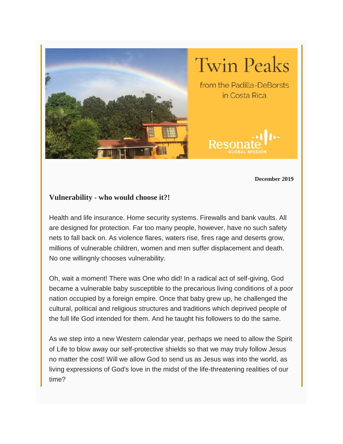

**December 2019**

## **Vulnerability - who would choose it?!**

Health and life insurance. Home security systems. Firewalls and bank vaults. All are designed for protection. Far too many people, however, have no such safety nets to fall back on. As violence flares, waters rise, fires rage and deserts grow, millions of vulnerable children, women and men suffer displacement and death. No one willingnly chooses vulnerability.

Oh, wait a moment! There was One who did! In a radical act of self-giving, God became a vulnerable baby susceptible to the precarious living conditions of a poor nation occupied by a foreign empire. Once that baby grew up, he challenged the cultural, political and religious structures and traditions which deprived people of the full life God intended for them. And he taught his followers to do the same.

As we step into a new Western calendar year, perhaps we need to allow the Spirit of Life to blow away our self-protective shields so that we may truly follow Jesus no matter the cost! Will we allow God to send us as Jesus was into the world, as living expressions of God's love in the midst of the life-threatening realities of our time?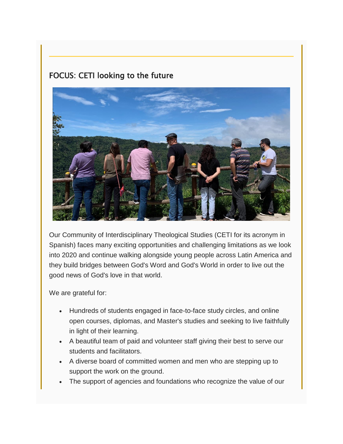## FOCUS: CETI looking to the future



Our Community of Interdisciplinary Theological Studies (CETI for its acronym in Spanish) faces many exciting opportunities and challenging limitations as we look into 2020 and continue walking alongside young people across Latin America and they build bridges between God's Word and God's World in order to live out the good news of God's love in that world.

We are grateful for:

- Hundreds of students engaged in face-to-face study circles, and online open courses, diplomas, and Master's studies and seeking to live faithfully in light of their learning.
- A beautiful team of paid and volunteer staff giving their best to serve our students and facilitators.
- A diverse board of committed women and men who are stepping up to support the work on the ground.
- The support of agencies and foundations who recognize the value of our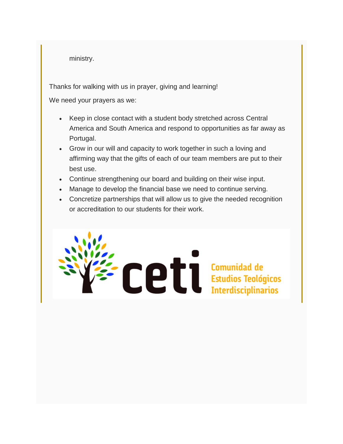ministry.

Thanks for walking with us in prayer, giving and learning!

We need your prayers as we:

- Keep in close contact with a student body stretched across Central America and South America and respond to opportunities as far away as Portugal.
- Grow in our will and capacity to work together in such a loving and affirming way that the gifts of each of our team members are put to their best use.
- Continue strengthening our board and building on their wise input.
- Manage to develop the financial base we need to continue serving.
- Concretize partnerships that will allow us to give the needed recognition or accreditation to our students for their work.

Ce l'Estudios Teológicos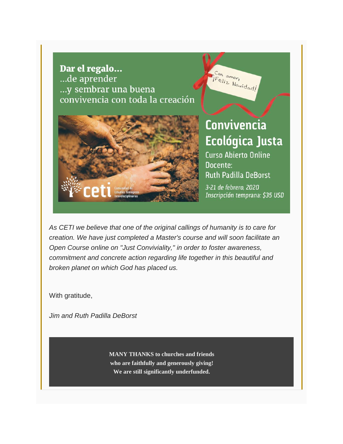Dar el regalo... ...de aprender ...y sembrar una buena convivencia con toda la creación



## **Convivencia** Ecológica Justa

Con amor, IFeliz Navidad!

**Curso Abierto Online** Docente: **Ruth Padilla DeBorst** 3-21 de febrero, 2020 Inscripción temprana: \$35 USD

*As CETI we believe that one of the original callings of humanity is to care for creation. We have just completed a Master's course and will soon facilitate an Open Course online on "Just Conviviality," in order to foster awareness, commitment and concrete action regarding life together in this beautiful and broken planet on which God has placed us.*

With gratitude,

*Jim and Ruth Padilla DeBorst*

**MANY THANKS to churches and friends who are faithfully and generously giving! We are still significantly underfunded.**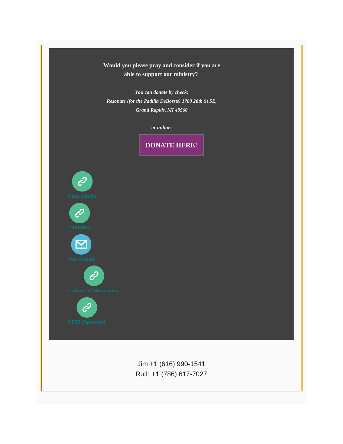## **Would you please pray and consider if you are able to support our ministry?**

*You can donate by check: Resonate (for the Padilla DeBorsts) 1700 28th St SE, Grand Rapids, MI 49560*



Jim +1 (616) 990-1541 Ruth +1 (786) 617-7027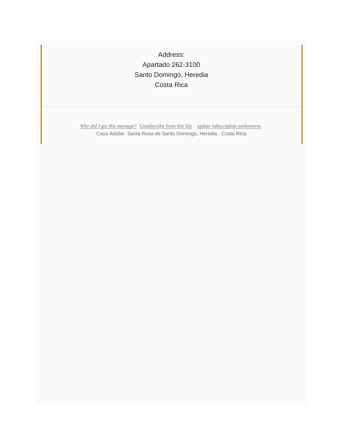Address: Apartado 262-3100 Santo Domingo, Heredia Costa Rica

*Why did I get this [message?](https://crcna.us6.list-manage.com/track/click?u=7ec612c76e46d86183880ec34&id=3ce7d1cd76&e=9f010fea5b)* [Unsubscribe](https://crcna.us6.list-manage.com/track/click?u=7ec612c76e46d86183880ec34&id=cc005783b7&e=9f010fea5b) from this list update [subscription](https://crcna.us6.list-manage.com/track/click?u=7ec612c76e46d86183880ec34&id=4cc9dbbe6a&e=9f010fea5b) preferences Casa Adobe· Santa Rosa de Santo Domingo, Heredia · Costa Rica